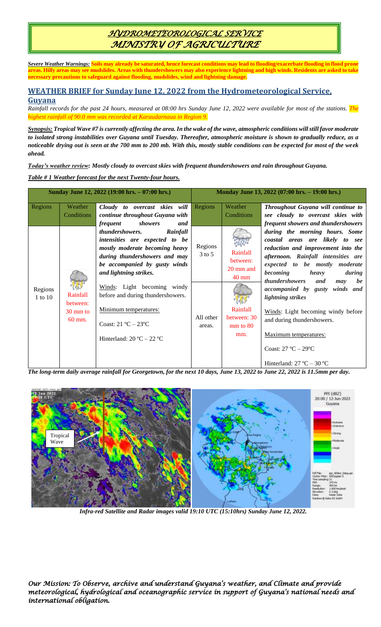## *HYDROMETEOROLOGICAL SERVICE MINISTRY OF AGRICULTURE*

*Severe Weather Warnings:* **Soils may already be saturated, hence forecast conditions may lead to flooding/exacerbate flooding in flood prone areas. Hilly areas may see mudslides. Areas with thundershowers may also experience lightning and high winds. Residents are asked to take necessary precautions to safeguard against flooding, mudslides, wind and lightning damage.**

## **WEATHER BRIEF for Sunday June 12, 2022 from the Hydrometeorological Service, Guyana**

*Rainfall records for the past 24 hours, measured at 08:00 hrs Sunday June 12, 2022 were available for most of the stations. The highest rainfall of 90.0 mm was recorded at Karaudarnaua in Region 9.*

*Synopsis: Tropical Wave #7 is currently affecting the area. In the wake of the wave, atmospheric conditions will still favor moderate to isolated strong instabilities over Guyana until Tuesday. Thereafter, atmospheric moisture is shown to gradually reduce, as a noticeable drying out is seen at the 700 mm to 200 mb. With this, mostly stable conditions can be expected for most of the week ahead.* 

*Today's weather review: Mostly cloudy to overcast skies with frequent thundershowers and rain throughout Guyana.*

*Table # 1 Weather forecast for the next Twenty-four hours.*

| Sunday June 12, 2022 (19:00 hrs. - 07:00 hrs.) |                                                      |                                                                                                                                                                                                    | Monday June 13, 2022 (07:00 hrs. - 19:00 hrs.) |                                                      |                                                                                                                                                                                                                                                              |
|------------------------------------------------|------------------------------------------------------|----------------------------------------------------------------------------------------------------------------------------------------------------------------------------------------------------|------------------------------------------------|------------------------------------------------------|--------------------------------------------------------------------------------------------------------------------------------------------------------------------------------------------------------------------------------------------------------------|
| Regions                                        | Weather<br>Conditions                                | Cloudy to overcast skies will<br>continue throughout Guyana with<br>frequent<br>showers<br>and                                                                                                     | Regions                                        | Weather<br>Conditions                                | Throughout Guyana will continue to<br>see cloudy to overcast skies with<br>frequent showers and thundershowers                                                                                                                                               |
| Regions<br>1 to 10                             | Rainfall<br>between:<br>$30 \text{ mm}$ to<br>60 mm. | Rainfall<br><i>thundershowers.</i><br>intensities are expected to be<br>mostly moderate becoming heavy<br>during thundershowers and may<br>be accompanied by gusty winds<br>and lightning strikes. | Regions<br>$3$ to $5$                          | Rainfall<br>between:<br>20 mm and<br>$40 \text{ mm}$ | during the morning hours. Some<br>coastal areas are likely to see<br>reduction and improvement into the<br>afternoon. Rainfall intensities are<br>expected to be mostly moderate<br>becoming<br>heavy<br>during<br><i>thundershowers</i><br>and<br>be<br>may |
|                                                |                                                      | Winds: Light becoming windy<br>before and during thundershowers.<br>Minimum temperatures:<br>Coast: $21^{\circ}C - 23^{\circ}C$<br>Hinterland: $20 °C - 22 °C$                                     | All other<br>areas.                            | Rainfall<br>between: 30<br>$mm$ to $80$<br>mm.       | <i>accompanied</i> by gusty<br>winds and<br>lightning strikes<br>Winds: Light becoming windy before<br>and during thundershowers.<br>Maximum temperatures:<br>Coast: 27 °C - 29°C                                                                            |
|                                                | $ -$                                                 | $\sim$ $\sim$ $\sim$                                                                                                                                                                               |                                                |                                                      | Hinterland: $27^{\circ}$ C – 30 °C                                                                                                                                                                                                                           |

*The long-term daily average rainfall for Georgetown, for the next 10 days, June 13, 2022 to June 22, 2022 is 11.5mm per day.*



*Infra-red Satellite and Radar images valid 19:10 UTC (15:10hrs) Sunday June 12, 2022.*

*Our Mission: To Observe, archive and understand Guyana's weather, and Climate and provide meteorological, hydrological and oceanographic service in support of Guyana's national needs and international obligation.*